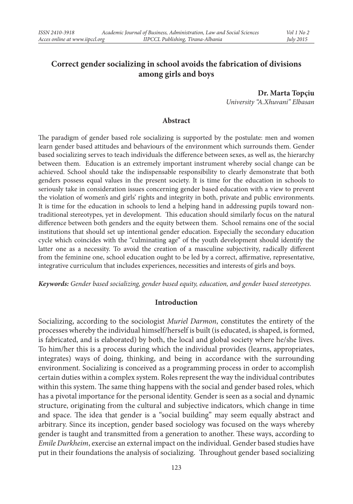# **Correct gender socializing in school avoids the fabrication of divisions among girls and boys**

**Dr. Marta Topçiu** *University "A.Xhuvani" Elbasan*

#### **Abstract**

The paradigm of gender based role socializing is supported by the postulate: men and women learn gender based attitudes and behaviours of the environment which surrounds them. Gender based socializing serves to teach individuals the difference between sexes, as well as, the hierarchy between them. Education is an extremely important instrument whereby social change can be achieved. School should take the indispensable responsibility to clearly demonstrate that both genders possess equal values in the present society. It is time for the education in schools to seriously take in consideration issues concerning gender based education with a view to prevent the violation of women's and girls' rights and integrity in both, private and public environments. It is time for the education in schools to lend a helping hand in addressing pupils toward nontraditional stereotypes, yet in development. This education should similarly focus on the natural difference between both genders and the equity between them. School remains one of the social institutions that should set up intentional gender education. Especially the secondary education cycle which coincides with the "culminating age" of the youth development should identify the latter one as a necessity. To avoid the creation of a masculine subjectivity, radically different from the feminine one, school education ought to be led by a correct, affirmative, representative, integrative curriculum that includes experiences, necessities and interests of girls and boys.

*Keywords: Gender based socializing, gender based equity, education, and gender based stereotypes.*

#### **Introduction**

Socializing, according to the sociologist *Muriel Darmon*, constitutes the entirety of the processes whereby the individual himself/herself is built (is educated, is shaped, is formed, is fabricated, and is elaborated) by both, the local and global society where he/she lives. To him/her this is a process during which the individual provides (learns, appropriates, integrates) ways of doing, thinking, and being in accordance with the surrounding environment. Socializing is conceived as a programming process in order to accomplish certain duties within a complex system. Roles represent the way the individual contributes within this system. The same thing happens with the social and gender based roles, which has a pivotal importance for the personal identity. Gender is seen as a social and dynamic structure, originating from the cultural and subjective indicators, which change in time and space. The idea that gender is a "social building" may seem equally abstract and arbitrary. Since its inception, gender based sociology was focused on the ways whereby gender is taught and transmitted from a generation to another. These ways, according to *Emile Durkheim*, exercise an external impact on the individual. Gender based studies have put in their foundations the analysis of socializing. Throughout gender based socializing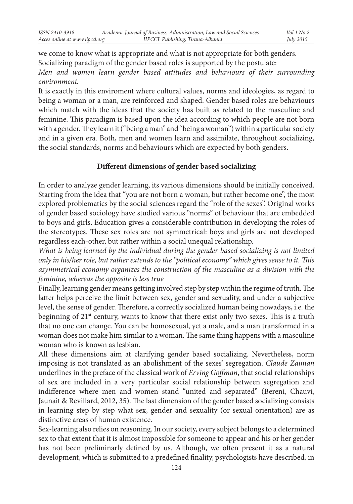we come to know what is appropriate and what is not appropriate for both genders. Socializing paradigm of the gender based roles is supported by the postulate: *Men and women learn gender based attitudes and behaviours of their surrounding* 

*environment.* 

It is exactly in this enviroment where cultural values, norms and ideologies, as regard to being a woman or a man, are reinforced and shaped. Gender based roles are behaviours which match with the ideas that the society has built as related to the masculine and feminine. This paradigm is based upon the idea according to which people are not born with a gender. They learn it ("being a man" and "being a woman") within a particular society and in a given era. Both, men and women learn and assimilate, throughout socializing, the social standards, norms and behaviours which are expected by both genders.

## **Different dimensions of gender based socializing**

In order to analyze gender learning, its various dimensions should be initially conceived. Starting from the idea that "you are not born a woman, but rather become one", the most explored problematics by the social sciences regard the "role of the sexes". Original works of gender based sociology have studied various "norms" of behaviour that are embedded to boys and girls. Education gives a considerable contribution in developing the roles of the stereotypes. These sex roles are not symmetrical: boys and girls are not developed regardless each-other, but rather within a social unequal relationship.

*What is being learned by the individual during the gender based socializing is not limited only in his/her role, but rather extends to the "political economy" which gives sense to it. This asymmetrical economy organizes the construction of the masculine as a division with the feminine, whereas the opposite is less true* 

Finally, learning gender means getting involved step by step within the regime of truth. The latter helps perceive the limit between sex, gender and sexuality, and under a subjective level, the sense of gender. Therefore, a correctly socialized human being nowadays, i.e. the beginning of  $21<sup>st</sup>$  century, wants to know that there exist only two sexes. This is a truth that no one can change. You can be homosexual, yet a male, and a man transformed in a woman does not make him similar to a woman. The same thing happens with a masculine woman who is known as lesbian.

All these dimensions aim at clarifying gender based socializing. Nevertheless, norm imposing is not translated as an abolishment of the sexes' segregation. *Claude Zaiman* underlines in the preface of the classical work of *Erving Goffman*, that social relationships of sex are included in a very particular social relationship between segregation and indifference where men and women stand "united and separated" (Bereni, Chauvi, Jaunait & Revillard, 2012, 35). The last dimension of the gender based socializing consists in learning step by step what sex, gender and sexuality (or sexual orientation) are as distinctive areas of human existence.

Sex-learning also relies on reasoning. In our society, every subject belongs to a determined sex to that extent that it is almost impossible for someone to appear and his or her gender has not been preliminarly defined by us. Although, we often present it as a natural development, which is submitted to a predefined finality, psychologists have described, in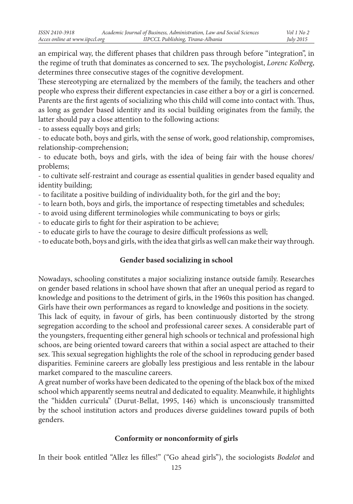an empirical way, the different phases that children pass through before "integration", in the regime of truth that dominates as concerned to sex. The psychologist, *Lorenc Kolberg*, determines three consecutive stages of the cognitive development.

These stereotyping are eternalized by the members of the family, the teachers and other people who express their different expectancies in case either a boy or a girl is concerned. Parents are the first agents of socializing who this child will come into contact with. Thus, as long as gender based identity and its social building originates from the family, the latter should pay a close attention to the following actions:

- to assess equally boys and girls;

- to educate both, boys and girls, with the sense of work, good relationship, compromises, relationship-comprehension;

- to educate both, boys and girls, with the idea of being fair with the house chores/ problems;

- to cultivate self-restraint and courage as essential qualities in gender based equality and identity building;

- to facilitate a positive building of individuality both, for the girl and the boy;

- to learn both, boys and girls, the importance of respecting timetables and schedules;

- to avoid using different terminologies while communicating to boys or girls;

- to educate girls to fight for their aspiration to be achieve;

- to educate girls to have the courage to desire difficult professions as well;

- to educate both, boys and girls, with the idea that girls as well can make their way through.

### **Gender based socializing in school**

Nowadays, schooling constitutes a major socializing instance outside family. Researches on gender based relations in school have shown that after an unequal period as regard to knowledge and positions to the detriment of girls, in the 1960s this position has changed. Girls have their own performances as regard to knowledge and positions in the society.

This lack of equity, in favour of girls, has been continuously distorted by the strong segregation according to the school and professional career sexes. A considerable part of the youngsters, frequenting either general high schools or technical and professional high schoos, are being oriented toward careers that within a social aspect are attached to their sex. This sexual segregation highlights the role of the school in reproducing gender based disparities. Feminine careers are globally less prestigious and less rentable in the labour market compared to the masculine careers.

A great number of works have been dedicated to the opening of the black box of the mixed school which apparently seems neutral and dedicated to equality. Meanwhile, it highlights the "hidden curricula" (Durut-Bellat, 1995, 146) which is unconsciously transmitted by the school institution actors and produces diverse guidelines toward pupils of both genders.

### **Conformity or nonconformity of girls**

In their book entitled "Allez les filles!" ("Go ahead girls"), the sociologists *Bodelot* and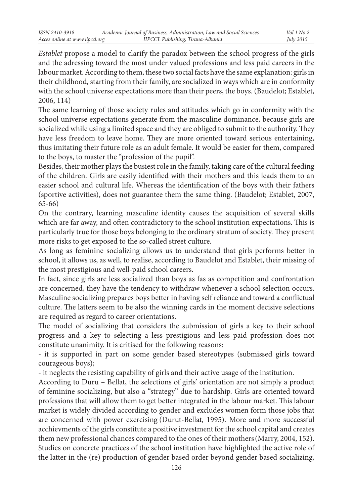*Establet* propose a model to clarify the paradox between the school progress of the girls and the adressing toward the most under valued professions and less paid careers in the labour market. According to them, these two social facts have the same explanation: girls in their childhood, starting from their family, are socialized in ways which are in conformity with the school universe expectations more than their peers, the boys. (Baudelot; Establet, 2006, 114)

The same learning of those society rules and attitudes which go in conformity with the school universe expectations generate from the masculine dominance, because girls are socialized while using a limited space and they are obliged to submit to the authority. They have less freedom to leave home. They are more oriented toward serious entertaining, thus imitating their future role as an adult female. It would be easier for them, compared to the boys, to master the "profession of the pupil".

Besides, their mother plays the busiest role in the family, taking care of the cultural feeding of the children. Girls are easily identified with their mothers and this leads them to an easier school and cultural life. Whereas the identification of the boys with their fathers (sportive activities), does not guarantee them the same thing. (Baudelot; Establet, 2007, 65-66)

On the contrary, learning masculine identity causes the acquisition of several skills which are far away, and often contradictory to the school institution expectations. This is particularly true for those boys belonging to the ordinary stratum of society. They present more risks to get exposed to the so-called street culture.

As long as feminine socializing allows us to understand that girls performs better in school, it allows us, as well, to realise, according to Baudelot and Establet, their missing of the most prestigious and well-paid school careers.

In fact, since girls are less socialized than boys as fas as competition and confrontation are concerned, they have the tendency to withdraw whenever a school selection occurs. Masculine socializing prepares boys better in having self reliance and toward a conflictual culture. The latters seem to be also the winning cards in the moment decisive selections are required as regard to career orientations.

The model of socializing that considers the submission of girls a key to their school progress and a key to selecting a less prestigious and less paid profession does not constitute unanimity. It is critised for the following reasons:

- it is supported in part on some gender based stereotypes (submissed girls toward courageous boys);

- it neglects the resisting capability of girls and their active usage of the institution.

According to Duru – Bellat, the selections of girls' orientation are not simply a product of feminine socializing, but also a "strategy" due to hardship. Girls are oriented toward professions that will allow them to get better integrated in the labour market. This labour market is widely divided according to gender and excludes women form those jobs that are concerned with power exercising (Durut-Bellat, 1995). More and more successful acchievments of the girls constitute a positive investment for the school capital and creates them new professional chances compared to the ones of their mothers(Marry, 2004, 152). Studies on concrete practices of the school institution have highlighted the active role of the latter in the (re) production of gender based order beyond gender based socializing,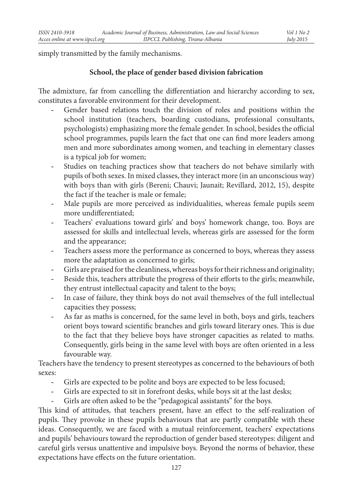simply transmitted by the family mechanisms.

## **School, the place of gender based division fabrication**

The admixture, far from cancelling the differentiation and hierarchy according to sex, constitutes a favorable environment for their development.

- Gender based relations touch the division of roles and positions within the school institution (teachers, boarding custodians, professional consultants, psychologists) emphasizing more the female gender. In school, besides the official school programmes, pupils learn the fact that one can find more leaders among men and more subordinates among women, and teaching in elementary classes is a typical job for women;
- Studies on teaching practices show that teachers do not behave similarly with pupils of both sexes. In mixed classes, they interact more (in an unconscious way) with boys than with girls (Bereni; Chauvi; Jaunait; Revillard, 2012, 15), despite the fact if the teacher is male or female;
- Male pupils are more perceived as individualities, whereas female pupils seem more undifferentiated;
- Teachers' evaluations toward girls' and boys' homework change, too. Boys are assessed for skills and intellectual levels, whereas girls are assessed for the form and the appearance;
- Teachers assess more the performance as concerned to boys, whereas they assess more the adaptation as concerned to girls;
- Girls are praised for the cleanliness, whereas boys for their richness and originality;
- Beside this, teachers attribute the progress of their efforts to the girls; meanwhile, they entrust intellectual capacity and talent to the boys;
- In case of failure, they think boys do not avail themselves of the full intellectual capacities they possess;
- As far as maths is concerned, for the same level in both, boys and girls, teachers orient boys toward scientific branches and girls toward literary ones. This is due to the fact that they believe boys have stronger capacities as related to maths. Consequently, girls being in the same level with boys are often oriented in a less favourable way.

Teachers have the tendency to present stereotypes as concerned to the behaviours of both sexes:

- Girls are expected to be polite and boys are expected to be less focused;
- Girls are expected to sit in forefront desks, while boys sit at the last desks;
- Girls are often asked to be the "pedagogical assistants" for the boys.

This kind of attitudes, that teachers present, have an effect to the self-realization of pupils. They provoke in these pupils behaviours that are partly compatible with these ideas. Consequently, we are faced with a mutual reinforcement, teachers' expectations and pupils' behaviours toward the reproduction of gender based stereotypes: diligent and careful girls versus unattentive and impulsive boys. Beyond the norms of behavior, these expectations have effects on the future orientation.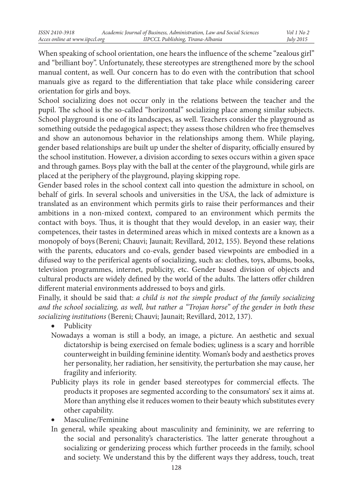When speaking of school orientation, one hears the influence of the scheme "zealous girl" and "brilliant boy". Unfortunately, these stereotypes are strengthened more by the school manual content, as well. Our concern has to do even with the contribution that school manuals give as regard to the differentiation that take place while considering career orientation for girls and boys.

School socializing does not occur only in the relations between the teacher and the pupil. The school is the so-called "horizontal" socializing place among similar subjects. School playground is one of its landscapes, as well. Teachers consider the playground as something outside the pedagogical aspect; they assess those children who free themselves and show an autonomous behavior in the relationships among them. While playing, gender based relationships are built up under the shelter of disparity, officially ensured by the school institution. However, a division according to sexes occurs within a given space and through games. Boys play with the ball at the center of the playground, while girls are placed at the periphery of the playground, playing skipping rope.

Gender based roles in the school context call into question the admixture in school, on behalf of girls. In several schools and universities in the USA, the lack of admixture is translated as an environment which permits girls to raise their performances and their ambitions in a non-mixed context, compared to an environment which permits the contact with boys. Thus, it is thought that they would develop, in an easier way, their competences, their tastes in determined areas which in mixed contexts are a known as a monopoly of boys(Bereni; Chauvi; Jaunait; Revillard, 2012, 155). Beyond these relations with the parents, educators and co-evals, gender based viewpoints are embodied in a difused way to the periferical agents of socializing, such as: clothes, toys, albums, books, television programmes, internet, publicity, etc. Gender based division of objects and cultural products are widely defined by the world of the adults. The latters offer children different material environments addressed to boys and girls.

Finally, it should be said that: *a child is not the simple product of the family socializing and the school socializing, as well, but rather a "Trojan horse" of the gender in both these socializing institutions* (Bereni; Chauvi; Jaunait; Revillard, 2012, 137).

- Publicity
- Nowadays a woman is still a body, an image, a picture. An aesthetic and sexual dictatorship is being exercised on female bodies; ugliness is a scary and horrible counterweight in building feminine identity. Woman's body and aesthetics proves her personality, her radiation, her sensitivity, the perturbation she may cause, her fragility and inferiority.
- Publicity plays its role in gender based stereotypes for commercial effects. The products it proposes are segmented according to the consumators' sex it aims at. More than anything else it reduces women to their beauty which substitutes every other capability.
- Masculine/Feminine
- In general, while speaking about masculinity and femininity, we are referring to the social and personality's characteristics. The latter generate throughout a socializing or genderizing process which further proceeds in the family, school and society. We understand this by the different ways they address, touch, treat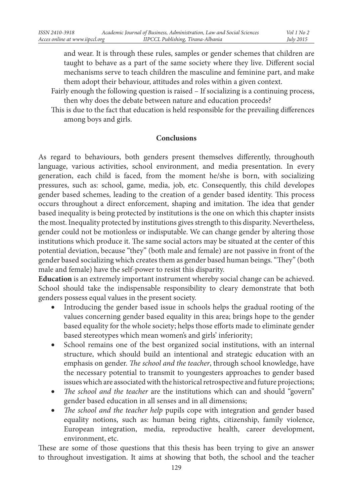and wear. It is through these rules, samples or gender schemes that children are taught to behave as a part of the same society where they live. Different social mechanisms serve to teach children the masculine and feminine part, and make them adopt their behaviour, attitudes and roles within a given context.

- Fairly enough the following question is raised If socializing is a continuing process, then why does the debate between nature and education proceeds?
- This is due to the fact that education is held responsible for the prevailing differences among boys and girls.

### **Conclusions**

As regard to behaviours, both genders present themselves differently, throughouth language, various activities, school environment, and media presentation. In every generation, each child is faced, from the moment he/she is born, with socializing pressures, such as: school, game, media, job, etc. Consequently, this child developes gender based schemes, leading to the creation of a gender based identity. This process occurs throughout a direct enforcement, shaping and imitation. The idea that gender based inequality is being protected by institutions is the one on which this chapter insists the most. Inequality protected by institutions gives strength to this disparity. Nevertheless, gender could not be motionless or indisputable. We can change gender by altering those institutions which produce it. The same social actors may be situated at the center of this potential deviation, because "they" (both male and female) are not passive in front of the gender based socializing which creates them as gender based human beings. "They" (both male and female) have the self-power to resist this disparity.

**Education** is an extremely important instrument whereby social change can be achieved. School should take the indispensable responsibility to cleary demonstrate that both genders possess equal values in the present society.

- Introducing the gender based issue in schools helps the gradual rooting of the values concerning gender based equality in this area; brings hope to the gender based equality for the whole society; helps those efforts made to eliminate gender based stereotypes which mean women's and girls' inferiority;
- School remains one of the best organized social institutions, with an internal structure, which should build an intentional and strategic education with an emphasis on gender. *The school and the teacher*, through school knowledge, have the necessary potential to transmit to youngesters approaches to gender based issues which are associated with the historical retrospective and future projections;
- *The school and the teacher* are the institutions which can and should "govern" gender based education in all senses and in all dimensions;
- *The school and the teacher help pupils cope with integration and gender based* equality notions, such as: human being rights, citizenship, family violence, European integration, media, reproductive health, career development, environment, etc.

These are some of those questions that this thesis has been trying to give an answer to throughout investigation. It aims at showing that both, the school and the teacher